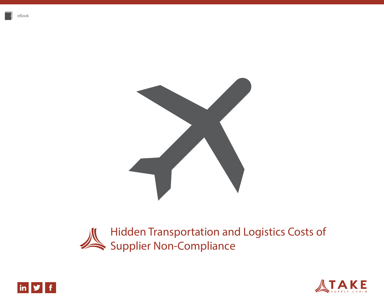

# Hidden Transportation and Logistics Costs of Supplier Non-Compliance



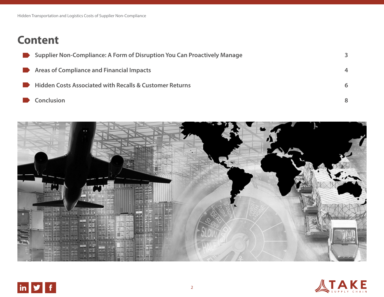### **Content**

| <b>The Second Second</b> | Supplier Non-Compliance: A Form of Disruption You Can Proactively Manage | 3 |
|--------------------------|--------------------------------------------------------------------------|---|
|                          | Areas of Compliance and Financial Impacts                                | 4 |
|                          | <b>EXECUTE:</b> Hidden Costs Associated with Recalls & Customer Returns  | 6 |
|                          | Conclusion                                                               | 8 |





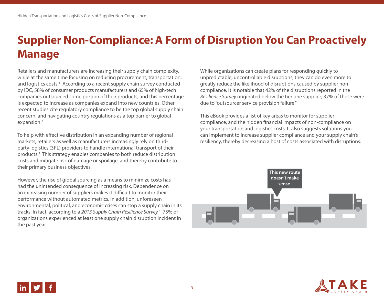# **Supplier Non-Compliance: A Form of Disruption You Can Proactively Manage**

Retailers and manufacturers are increasing their supply chain complexity, while at the same time focusing on reducing procurement, transportation, and logistics costs.<sup>1</sup> According to a recent supply chain survey conducted by IDC, 58% of consumer products manufacturers and 65% of high-tech companies outsourced some portion of their products, and this percentage is expected to increase as companies expand into new countries. Other recent studies cite regulatory compliance to be the top global supply chain concern, and navigating country regulations as a top barrier to global expansion.2

To help with effective distribution in an expanding number of regional markets, retailers as well as manufacturers increasingly rely on thirdparty logistics (3PL) providers to handle international transport of their products.3 This strategy enables companies to both reduce distribution costs and mitigate risk of damage or spoilage, and thereby contribute to their primary business objectives.

However, the rise of global sourcing as a means to minimize costs has had the unintended consequence of increasing risk. Dependence on an increasing number of suppliers makes it difficult to monitor their performance without automated metrics. In addition, unforeseen environmental, political, and economic crises can stop a supply chain in its tracks. In fact, according to a *2013 Supply Chain Resilience Survey,*<sup>4</sup> 75% of organizations experienced at least one supply chain disruption incident in the past year.

While organizations can create plans for responding quickly to unpredictable, uncontrollable disruptions, they can do even more to greatly reduce the likelihood of disruptions caused by supplier noncompliance. It is notable that 42% of the disruptions reported in the *Resilience Survey* originated below the tier one supplier; 37% of these were due to "outsourcer service provision failure."

This eBook provides a list of key areas to monitor for supplier compliance, and the hidden financial impacts of non-compliance on your transportation and logistics costs. It also suggests solutions you can implement to increase supplier compliance and your supply chain's resiliency, thereby decreasing a host of costs associated with disruptions.





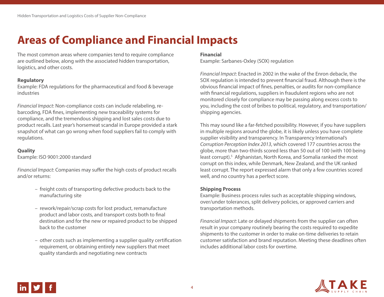# **Areas of Compliance and Financial Impacts**

The most common areas where companies tend to require compliance are outlined below, along with the associated hidden transportation, logistics, and other costs.

#### **Regulatory**

Example: FDA regulations for the pharmaceutical and food & beverage industries

*Financial Impact*: Non-compliance costs can include relabeling, rebarcoding, FDA fines, implementing new traceability systems for compliance, and the tremendous shipping and lost sales costs due to product recalls. Last year's horsemeat scandal in Europe provided a stark snapshot of what can go wrong when food suppliers fail to comply with regulations.

#### **Quality**

Example: ISO 9001:2000 standard

*Financial Impact*: Companies may suffer the high costs of product recalls and/or returns:

- freight costs of transporting defective products back to the manufacturing site
- rework/repair/scrap costs for lost product, remanufacture product and labor costs, and transport costs both to final destination and for the new or repaired product to be shipped back to the customer
- other costs such as implementing a supplier quality certification requirement, or obtaining entirely new suppliers that meet quality standards and negotiating new contracts

#### **Financial**

Example: Sarbanes-Oxley (SOX) regulation

*Financial Impact*: Enacted in 2002 in the wake of the Enron debacle, the SOX regulation is intended to prevent financial fraud. Although there is the obvious financial impact of fines, penalties, or audits for non-compliance with financial regulations, suppliers in fraudulent regions who are not monitored closely for compliance may be passing along excess costs to you, including the cost of bribes to political, regulatory, and transportation/ shipping agencies.

This may sound like a far-fetched possibility. However, if you have suppliers in multiple regions around the globe, it is likely unless you have complete supplier visibility and transparency. In Transparency International's *Corruption Perception Index 2013*, which covered 177 countries across the globe, more than two-thirds scored less than 50 out of 100 (with 100 being least corrupt).<sup>5</sup> Afghanistan, North Korea, and Somalia ranked the most corrupt on this index, while Denmark, New Zealand, and the UK ranked least corrupt. The report expressed alarm that only a few countries scored well, and no country has a perfect score.

#### **Shipping Process**

Example: Business process rules such as acceptable shipping windows, over/under tolerances, split delivery policies, or approved carriers and transportation methods.

*Financial Impact*: Late or delayed shipments from the supplier can often result in your company routinely bearing the costs required to expedite shipments to the customer in order to make on-time deliveries to retain customer satisfaction and brand reputation. Meeting these deadlines often includes additional labor costs for overtime.



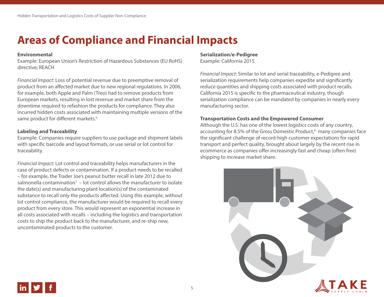# **Areas of Compliance and Financial Impacts**

#### **Environmental**

Example: European Union's Restriction of Hazardous Substances (EU RoHS) directive; REACH

*Financial Impact*: Loss of potential revenue due to preemptive removal of product from an affected market due to new regional regulations. In 2006, for example, both Apple and Palm (Treo) had to remove products from European markets, resulting in lost revenue and market share from the downtime required to refashion the products for compliance. They also incurred hidden costs associated with maintaining multiple versions of the same product for different markets.<sup>6</sup>

#### **Labeling and Traceability**

Example: Companies require suppliers to use package and shipment labels with specific barcode and layout formats, or use serial or lot control for traceability.

*Financial Impact*: Lot control and traceability helps manufacturers in the case of product defects or contamination. If a product needs to be recalled – for example, the Trader Joe's peanut butter recall in late 2012 due to salmonella contamination<sup>7</sup> – lot control allows the manufacturer to isolate the date(s) and manufacturing plant location(s) of the contaminated substance to recall only the products affected. Using this example, without lot control compliance, the manufacturer would be required to recall every product from every store. This would represent an exponential increase in all costs associated with recalls – including the logistics and transportation costs to ship the product back to the manufacturer, and re-ship new, uncontaminated products to the customer.

### **Serialization/e-Pedigree**

Example: California 2015

*Financial Impact*: Similar to lot and serial traceability, e-Pedigree and serialization requirements help companies expedite and significantly reduce quantities and shipping costs associated with product recalls. California 2015 is specific to the pharmaceutical industry, though serialization compliance can be mandated by companies in nearly every manufacturing sector.

#### **Transportation Costs and the Empowered Consumer**

Although the U.S. has one of the lowest logistics costs of any country, accounting for 8.5% of the Gross Domestic Product, ${}^{8}$  many companies face the significant challenge of record-high customer expectations for rapid transport and perfect quality, brought about largely by the recent rise in ecommerce as companies offer increasingly fast and cheap (often free) shipping to increase market share.



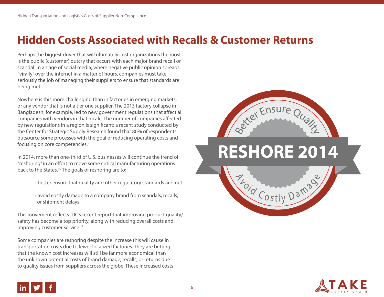### **Hidden Costs Associated with Recalls & Customer Returns**

Perhaps the biggest driver that will ultimately cost organizations the most is the public (customer) outcry that occurs with each major brand recall or scandal. In an age of social media, where negative public opinion spreads "virally" over the internet in a matter of hours, companies must take seriously the job of managing their suppliers to ensure that standards are being met.

Nowhere is this more challenging than in factories in emerging markets, or any vendor that is not a tier one supplier. The 2013 factory collapse in Bangladesh, for example, led to new government regulations that affect all companies with vendors in that locale. The number of companies affected by new regulations in a region is significant: a recent study conducted by the Center for Strategic Supply Research found that 80% of respondents outsource some processes with the goal of reducing operating costs and focusing on core competencies.<sup>9</sup>

In 2014, more than one-third of U.S. businesses will continue the trend of "reshoring" in an effort to move some critical manufacturing operations back to the States.10 The goals of reshoring are to:

- better ensure that quality and other regulatory standards are met
- avoid costly damage to a company brand from scandals, recalls, or shipment delays

This movement reflects IDC's recent report that improving product quality/ safety has become a top priority, along with reducing overall costs and improving customer service.<sup>11</sup>

Some companies are reshoring despite the increase this will cause in transportation costs due to fewer localized factories. They are betting that the known cost increases will still be far more economical than the unknown potential costs of brand damage, recalls, or returns due to quality issues from suppliers across the globe. These increased costs





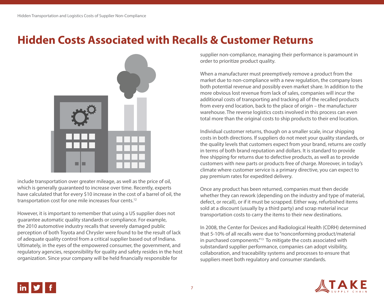## **Hidden Costs Associated with Recalls & Customer Returns**



include transportation over greater mileage, as well as the price of oil, which is generally guaranteed to increase over time. Recently, experts have calculated that for every \$10 increase in the cost of a barrel of oil, the transportation cost for one mile increases four cents.12

However, it is important to remember that using a US supplier does not guarantee automatic quality standards or compliance. For example, the 2010 automotive industry recalls that severely damaged public perception of both Toyota and Chrysler were found to be the result of lack of adequate quality control from a critical supplier based out of Indiana. Ultimately, in the eyes of the empowered consumer, the government, and regulatory agencies, responsibility for quality and safety resides in the host organization. Since your company will be held financially responsible for

supplier non-compliance, managing their performance is paramount in order to prioritize product quality.

When a manufacturer must preemptively remove a product from the market due to non-compliance with a new regulation, the company loses both potential revenue and possibly even market share. In addition to the more obvious lost revenue from lack of sales, companies will incur the additional costs of transporting and tracking all of the recalled products from every end location, back to the place of origin – the manufacturer warehouse. The reverse logistics costs involved in this process can even total more than the original costs to ship products to their end location.

Individual customer returns, though on a smaller scale, incur shipping costs in both directions. If suppliers do not meet your quality standards, or the quality levels that customers expect from your brand, returns are costly in terms of both brand reputation and dollars. It is standard to provide free shipping for returns due to defective products, as well as to provide customers with new parts or products free of charge. Moreover, in today's climate where customer service is a primary directive, you can expect to pay premium rates for expedited delivery.

Once any product has been returned, companies must then decide whether they can rework (depending on the industry and type of material, defect, or recall), or if it must be scrapped. Either way, refurbished items sold at a discount (usually by a third party) and scrap material incur transportation costs to carry the items to their new destinations.

In 2008, the Center for Devices and Radiological Health (CDRH) determined that 5-10% of all recalls were due to "nonconforming product/material in purchased components."13 To mitigate the costs associated with substandard supplier performance, companies can adopt visibility, collaboration, and traceability systems and processes to ensure that suppliers meet both regulatory and consumer standards.



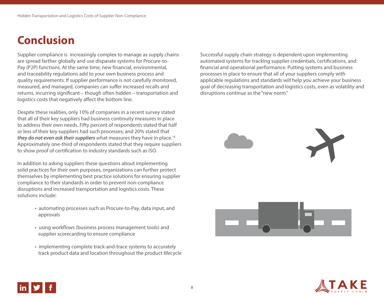### **Conclusion**

Supplier compliance is increasingly complex to manage as supply chains are spread farther globally and use disparate systems for Procure-to-Pay (P2P) functions. At the same time, new financial, environmental, and traceability regulations add to your own business process and quality requirements. If supplier performance is not carefully monitored, measured, and managed, companies can suffer increased recalls and returns, incurring significant – though often hidden – transportation and logistics costs that negatively affect the bottom line.

Despite these realities, only 10% of companies in a recent survey stated that all of their key suppliers had business continuity measures in place to address their own needs. Fifty percent of respondents stated that half or less of their key suppliers had such processes; and 20% stated that *they do not even ask their suppliers* what measures they have in place.<sup>14</sup> Approximately one-third of respondents stated that they require suppliers to show proof of certification to industry standards such as ISO.

In addition to asking suppliers these questions about implementing solid practices for their own purposes, organizations can further protect themselves by implementing best practice solutions for ensuring supplier compliance to their standards in order to prevent non-compliance disruptions and increased transportation and logistics costs. These solutions include:

- automating processes such as Procure-to-Pay, data input, and approvals
- using workflows (business process management tools) and supplier scorecarding to ensure compliance
- implementing complete track-and-trace systems to accurately track product data and location throughout the product lifecycle

Successful supply chain strategy is dependent upon implementing automated systems for tracking supplier credentials, certifications, and financial and operational performance. Putting systems and business processes in place to ensure that all of your suppliers comply with applicable regulations and standards will help you achieve your business goal of decreasing transportation and logistics costs, even as volatility and disruptions continue as the "new norm."





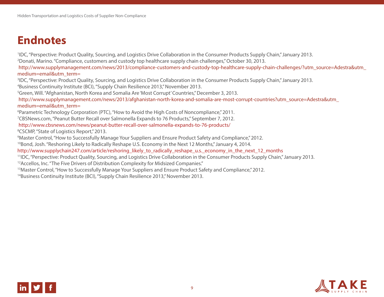### **Endnotes**

<sup>1</sup>IDC, "Perspective: Product Quality, Sourcing, and Logistics Drive Collaboration in the Consumer Products Supply Chain," January 2013.

2 Donati, Marino. "Compliance, customers and custody top healthcare supply chain challenges," October 30, 2013.

http://www.supplymanagement.com/news/2013/compliance-customers-and-custody-top-healthcare-supply-chain-challenges/?utm\_source=Adestra&utm\_ medium=email&utm\_term=

<sup>3</sup>IDC, "Perspective: Product Quality, Sourcing, and Logistics Drive Collaboration in the Consumer Products Supply Chain," January 2013.

4 Business Continuity Institute (BCI), "Supply Chain Resilience 2013," November 2013.

<sup>5</sup>Green, Will. "Afghanistan, North Korea and Somalia Are 'Most Corrupt' Countries," December 3, 2013.

 http://www.supplymanagement.com/news/2013/afghanistan-north-korea-and-somalia-are-most-corrupt-countries?utm\_source=Adestra&utm\_ medium=email&utm\_term=

<sup>6</sup>Parametric Technology Corporation (PTC), "How to Avoid the High Costs of Noncompliance," 2011.

7 CBSNews.com, "Peanut Butter Recall over Salmonella Expands to 76 Products," September 7, 2012.

http://www.cbsnews.com/news/peanut-butter-recall-over-salmonella-expands-to-76-products/

8 CSCMP, "State of Logistics Report," 2013.

9 Master Control, "How to Successfully Manage Your Suppliers and Ensure Product Safety and Compliance," 2012.

<sup>10</sup>Bond, Josh. "Reshoring Likely to Radically Reshape U.S. Economy in the Next 12 Months," January 4, 2014.

http://www.supplychain247.com/article/reshoring\_likely\_to\_radically\_reshape\_u.s.\_economy\_in\_the\_next\_12\_months

11IDC, "Perspective: Product Quality, Sourcing, and Logistics Drive Collaboration in the Consumer Products Supply Chain," January 2013.

<sup>12</sup> Accellos, Inc. "The Five Drivers of Distribution Complexity for Midsized Companies."

<sup>13</sup>Master Control, "How to Successfully Manage Your Suppliers and Ensure Product Safety and Compliance," 2012.

<sup>14</sup>Business Continuity Institute (BCI), "Supply Chain Resilience 2013," November 2013.